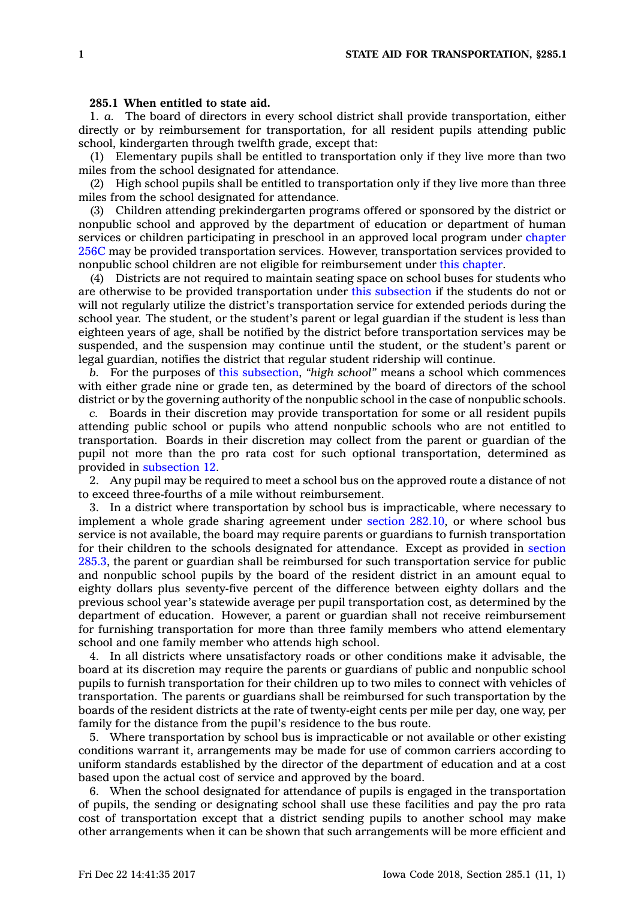## **285.1 When entitled to state aid.**

1. *a.* The board of directors in every school district shall provide transportation, either directly or by reimbursement for transportation, for all resident pupils attending public school, kindergarten through twelfth grade, except that:

(1) Elementary pupils shall be entitled to transportation only if they live more than two miles from the school designated for attendance.

(2) High school pupils shall be entitled to transportation only if they live more than three miles from the school designated for attendance.

(3) Children attending prekindergarten programs offered or sponsored by the district or nonpublic school and approved by the department of education or department of human services or children participating in preschool in an approved local program under [chapter](https://www.legis.iowa.gov/docs/code//256C.pdf) [256C](https://www.legis.iowa.gov/docs/code//256C.pdf) may be provided transportation services. However, transportation services provided to nonpublic school children are not eligible for reimbursement under this [chapter](https://www.legis.iowa.gov/docs/code//285.pdf).

(4) Districts are not required to maintain seating space on school buses for students who are otherwise to be provided transportation under this [subsection](https://www.legis.iowa.gov/docs/code/285.1.pdf) if the students do not or will not regularly utilize the district's transportation service for extended periods during the school year. The student, or the student's parent or legal guardian if the student is less than eighteen years of age, shall be notified by the district before transportation services may be suspended, and the suspension may continue until the student, or the student's parent or legal guardian, notifies the district that regular student ridership will continue.

*b.* For the purposes of this [subsection](https://www.legis.iowa.gov/docs/code/285.1.pdf), *"high school"* means <sup>a</sup> school which commences with either grade nine or grade ten, as determined by the board of directors of the school district or by the governing authority of the nonpublic school in the case of nonpublic schools.

*c.* Boards in their discretion may provide transportation for some or all resident pupils attending public school or pupils who attend nonpublic schools who are not entitled to transportation. Boards in their discretion may collect from the parent or guardian of the pupil not more than the pro rata cost for such optional transportation, determined as provided in [subsection](https://www.legis.iowa.gov/docs/code/285.1.pdf) 12.

2. Any pupil may be required to meet <sup>a</sup> school bus on the approved route <sup>a</sup> distance of not to exceed three-fourths of <sup>a</sup> mile without reimbursement.

3. In <sup>a</sup> district where transportation by school bus is impracticable, where necessary to implement <sup>a</sup> whole grade sharing agreement under section [282.10](https://www.legis.iowa.gov/docs/code/282.10.pdf), or where school bus service is not available, the board may require parents or guardians to furnish transportation for their children to the schools designated for attendance. Except as provided in [section](https://www.legis.iowa.gov/docs/code/285.3.pdf) [285.3](https://www.legis.iowa.gov/docs/code/285.3.pdf), the parent or guardian shall be reimbursed for such transportation service for public and nonpublic school pupils by the board of the resident district in an amount equal to eighty dollars plus seventy-five percent of the difference between eighty dollars and the previous school year's statewide average per pupil transportation cost, as determined by the department of education. However, <sup>a</sup> parent or guardian shall not receive reimbursement for furnishing transportation for more than three family members who attend elementary school and one family member who attends high school.

4. In all districts where unsatisfactory roads or other conditions make it advisable, the board at its discretion may require the parents or guardians of public and nonpublic school pupils to furnish transportation for their children up to two miles to connect with vehicles of transportation. The parents or guardians shall be reimbursed for such transportation by the boards of the resident districts at the rate of twenty-eight cents per mile per day, one way, per family for the distance from the pupil's residence to the bus route.

5. Where transportation by school bus is impracticable or not available or other existing conditions warrant it, arrangements may be made for use of common carriers according to uniform standards established by the director of the department of education and at <sup>a</sup> cost based upon the actual cost of service and approved by the board.

6. When the school designated for attendance of pupils is engaged in the transportation of pupils, the sending or designating school shall use these facilities and pay the pro rata cost of transportation except that <sup>a</sup> district sending pupils to another school may make other arrangements when it can be shown that such arrangements will be more efficient and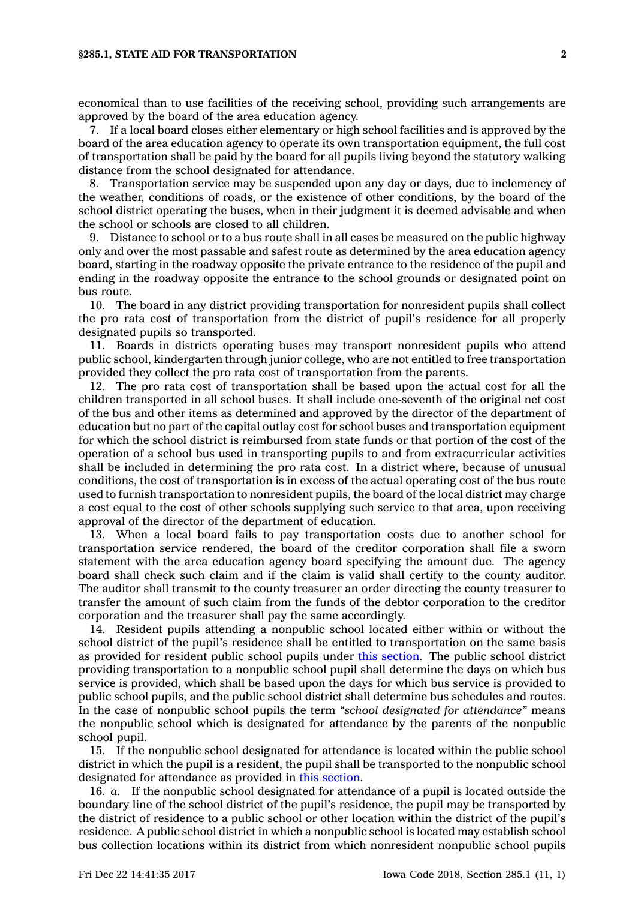economical than to use facilities of the receiving school, providing such arrangements are approved by the board of the area education agency.

7. If <sup>a</sup> local board closes either elementary or high school facilities and is approved by the board of the area education agency to operate its own transportation equipment, the full cost of transportation shall be paid by the board for all pupils living beyond the statutory walking distance from the school designated for attendance.

8. Transportation service may be suspended upon any day or days, due to inclemency of the weather, conditions of roads, or the existence of other conditions, by the board of the school district operating the buses, when in their judgment it is deemed advisable and when the school or schools are closed to all children.

9. Distance to school or to <sup>a</sup> bus route shall in all cases be measured on the public highway only and over the most passable and safest route as determined by the area education agency board, starting in the roadway opposite the private entrance to the residence of the pupil and ending in the roadway opposite the entrance to the school grounds or designated point on bus route.

10. The board in any district providing transportation for nonresident pupils shall collect the pro rata cost of transportation from the district of pupil's residence for all properly designated pupils so transported.

11. Boards in districts operating buses may transport nonresident pupils who attend public school, kindergarten through junior college, who are not entitled to free transportation provided they collect the pro rata cost of transportation from the parents.

12. The pro rata cost of transportation shall be based upon the actual cost for all the children transported in all school buses. It shall include one-seventh of the original net cost of the bus and other items as determined and approved by the director of the department of education but no part of the capital outlay cost for school buses and transportation equipment for which the school district is reimbursed from state funds or that portion of the cost of the operation of <sup>a</sup> school bus used in transporting pupils to and from extracurricular activities shall be included in determining the pro rata cost. In <sup>a</sup> district where, because of unusual conditions, the cost of transportation is in excess of the actual operating cost of the bus route used to furnish transportation to nonresident pupils, the board of the local district may charge <sup>a</sup> cost equal to the cost of other schools supplying such service to that area, upon receiving approval of the director of the department of education.

13. When <sup>a</sup> local board fails to pay transportation costs due to another school for transportation service rendered, the board of the creditor corporation shall file <sup>a</sup> sworn statement with the area education agency board specifying the amount due. The agency board shall check such claim and if the claim is valid shall certify to the county auditor. The auditor shall transmit to the county treasurer an order directing the county treasurer to transfer the amount of such claim from the funds of the debtor corporation to the creditor corporation and the treasurer shall pay the same accordingly.

14. Resident pupils attending <sup>a</sup> nonpublic school located either within or without the school district of the pupil's residence shall be entitled to transportation on the same basis as provided for resident public school pupils under this [section](https://www.legis.iowa.gov/docs/code/285.1.pdf). The public school district providing transportation to <sup>a</sup> nonpublic school pupil shall determine the days on which bus service is provided, which shall be based upon the days for which bus service is provided to public school pupils, and the public school district shall determine bus schedules and routes. In the case of nonpublic school pupils the term *"school designated for attendance"* means the nonpublic school which is designated for attendance by the parents of the nonpublic school pupil.

15. If the nonpublic school designated for attendance is located within the public school district in which the pupil is <sup>a</sup> resident, the pupil shall be transported to the nonpublic school designated for attendance as provided in this [section](https://www.legis.iowa.gov/docs/code/285.1.pdf).

16. *a.* If the nonpublic school designated for attendance of <sup>a</sup> pupil is located outside the boundary line of the school district of the pupil's residence, the pupil may be transported by the district of residence to <sup>a</sup> public school or other location within the district of the pupil's residence. A public school district in which <sup>a</sup> nonpublic school is located may establish school bus collection locations within its district from which nonresident nonpublic school pupils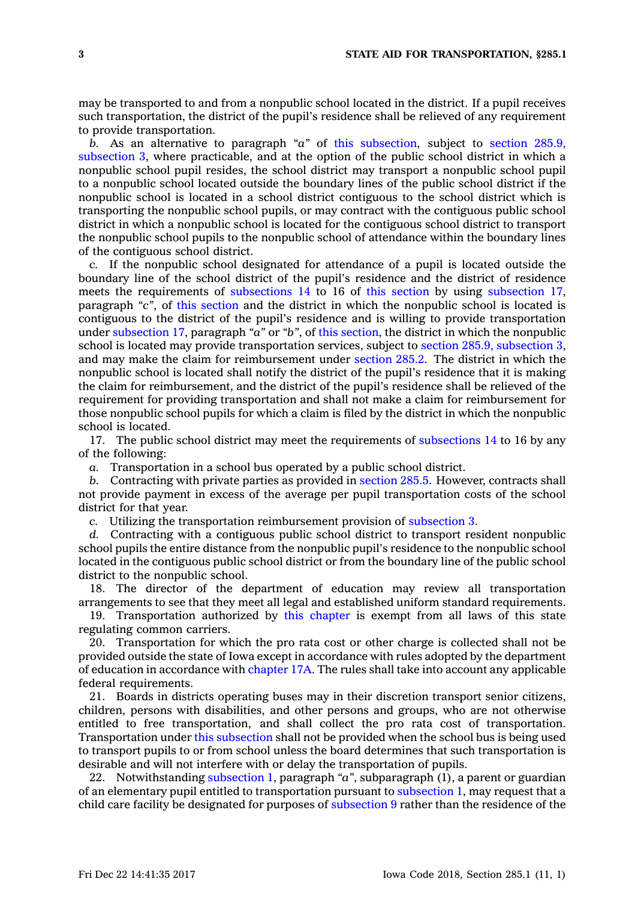may be transported to and from <sup>a</sup> nonpublic school located in the district. If <sup>a</sup> pupil receives such transportation, the district of the pupil's residence shall be relieved of any requirement to provide transportation.

*b.* As an alternative to paragraph *"a"* of this [subsection](https://www.legis.iowa.gov/docs/code/285.1.pdf), subject to section [285.9,](https://www.legis.iowa.gov/docs/code/285.9.pdf) [subsection](https://www.legis.iowa.gov/docs/code/285.9.pdf) 3, where practicable, and at the option of the public school district in which <sup>a</sup> nonpublic school pupil resides, the school district may transport <sup>a</sup> nonpublic school pupil to <sup>a</sup> nonpublic school located outside the boundary lines of the public school district if the nonpublic school is located in <sup>a</sup> school district contiguous to the school district which is transporting the nonpublic school pupils, or may contract with the contiguous public school district in which <sup>a</sup> nonpublic school is located for the contiguous school district to transport the nonpublic school pupils to the nonpublic school of attendance within the boundary lines of the contiguous school district.

*c.* If the nonpublic school designated for attendance of <sup>a</sup> pupil is located outside the boundary line of the school district of the pupil's residence and the district of residence meets the requirements of [subsections](https://www.legis.iowa.gov/docs/code/285.1.pdf) 14 to 16 of this [section](https://www.legis.iowa.gov/docs/code/285.1.pdf) by using [subsection](https://www.legis.iowa.gov/docs/code/285.1.pdf) 17, paragraph *"c"*, of this [section](https://www.legis.iowa.gov/docs/code/285.1.pdf) and the district in which the nonpublic school is located is contiguous to the district of the pupil's residence and is willing to provide transportation under [subsection](https://www.legis.iowa.gov/docs/code/285.1.pdf) 17, paragraph *"a"* or *"b"*, of this [section](https://www.legis.iowa.gov/docs/code/285.1.pdf), the district in which the nonpublic school is located may provide transportation services, subject to section 285.9, [subsection](https://www.legis.iowa.gov/docs/code/285.9.pdf) 3, and may make the claim for reimbursement under [section](https://www.legis.iowa.gov/docs/code/285.2.pdf) 285.2. The district in which the nonpublic school is located shall notify the district of the pupil's residence that it is making the claim for reimbursement, and the district of the pupil's residence shall be relieved of the requirement for providing transportation and shall not make <sup>a</sup> claim for reimbursement for those nonpublic school pupils for which <sup>a</sup> claim is filed by the district in which the nonpublic school is located.

17. The public school district may meet the requirements of [subsections](https://www.legis.iowa.gov/docs/code/285.1.pdf) 14 to 16 by any of the following:

*a.* Transportation in <sup>a</sup> school bus operated by <sup>a</sup> public school district.

*b.* Contracting with private parties as provided in [section](https://www.legis.iowa.gov/docs/code/285.5.pdf) 285.5. However, contracts shall not provide payment in excess of the average per pupil transportation costs of the school district for that year.

*c.* Utilizing the transportation reimbursement provision of [subsection](https://www.legis.iowa.gov/docs/code/285.1.pdf) 3.

*d.* Contracting with <sup>a</sup> contiguous public school district to transport resident nonpublic school pupils the entire distance from the nonpublic pupil's residence to the nonpublic school located in the contiguous public school district or from the boundary line of the public school district to the nonpublic school.

18. The director of the department of education may review all transportation arrangements to see that they meet all legal and established uniform standard requirements.

19. Transportation authorized by this [chapter](https://www.legis.iowa.gov/docs/code//285.pdf) is exempt from all laws of this state regulating common carriers.

20. Transportation for which the pro rata cost or other charge is collected shall not be provided outside the state of Iowa except in accordance with rules adopted by the department of education in accordance with [chapter](https://www.legis.iowa.gov/docs/code//17A.pdf) 17A. The rules shall take into account any applicable federal requirements.

21. Boards in districts operating buses may in their discretion transport senior citizens, children, persons with disabilities, and other persons and groups, who are not otherwise entitled to free transportation, and shall collect the pro rata cost of transportation. Transportation under this [subsection](https://www.legis.iowa.gov/docs/code/285.1.pdf) shall not be provided when the school bus is being used to transport pupils to or from school unless the board determines that such transportation is desirable and will not interfere with or delay the transportation of pupils.

22. Notwithstanding [subsection](https://www.legis.iowa.gov/docs/code/285.1.pdf) 1, paragraph *"a"*, subparagraph (1), <sup>a</sup> parent or guardian of an elementary pupil entitled to transportation pursuant to [subsection](https://www.legis.iowa.gov/docs/code/285.1.pdf) 1, may request that <sup>a</sup> child care facility be designated for purposes of [subsection](https://www.legis.iowa.gov/docs/code/285.1.pdf) 9 rather than the residence of the